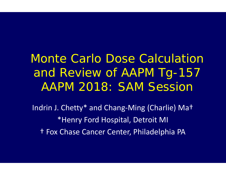Monte Carlo Dose Calculation and Review of AAPM Tg-157 AAPM 2018: SAM Session

Indrin J. Chetty\* and Chang‐Ming (Charlie) Ma† \*Henry Ford Hospital, Detroit MI † Fox Chase Cancer Center, Philadelphia PA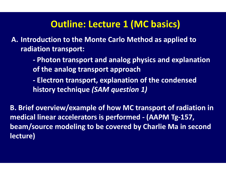# **Outline: Lecture 1 (MC basics)**

**A. Introduction to the Monte Carlo Method as applied to radiation transport:**

> **‐ Photon transport and analog physics and explanation of the analog transport approach**

**‐ Electron transport, explanation of the condensed history technique** *(SAM question 1)*

**B. Brief overview/example of how MC transport of radiation in medical linear accelerators is performed ‐ (AAPM Tg‐157, beam/source modeling to be covered by Charlie Ma in second lecture)**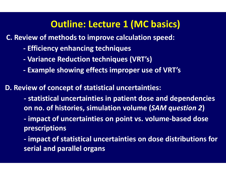## **Outline: Lecture 1 (MC basics)**

**C. Review of methods to improve calculation speed:**

- **‐ Efficiency enhancing techniques**
- **‐ Variance Reduction techniques (VRT's)**
- **‐ Example showing effects improper use of VRT's**

**D. Review of concept of statistical uncertainties:**

**‐ statistical uncertainties in patient dose and dependencies on no. of histories, simulation volume (***SAM question 2* **)**

**‐ impact of uncertainties on point vs. volume‐based dose prescriptions**

**‐ impact of statistical uncertainties on dose distributions for serial and parallel organs**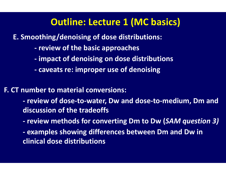#### **Outline: Lecture 1 (MC basics)**

**E. Smoothing/denoising of dose distributions:**

- **‐ review of the basic approaches**
- **‐ impact of denoising on dose distributions**
- **‐ caveats re: improper use of denoising**

**F. CT number to material conversions:** 

**‐ review of dose‐to‐water, Dw and dose‐to‐medium, Dm and discussion of the tradeoffs**

- **‐ review methods for converting Dm to Dw (***SAM question 3)*
- **‐ examples showing differences between Dm and Dw in clinical dose distributions**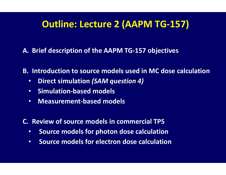# **Outline: Lecture 2 (AAPM TG‐157)**

**A. Brief description of the AAPM TG‐157 objectives**

**B. Introduction to source models used in MC dose calculation** 

- $\bullet$ **Direct simulation** *(SAM question 4)*
- $\bullet$ **Simulation‐based models**
- $\bullet$ **Measurement‐based models**

**C. Review of source models in commercial TPS**

- •**Source models for photon dose calculation**
- $\bullet$ **Source models for electron dose calculation**